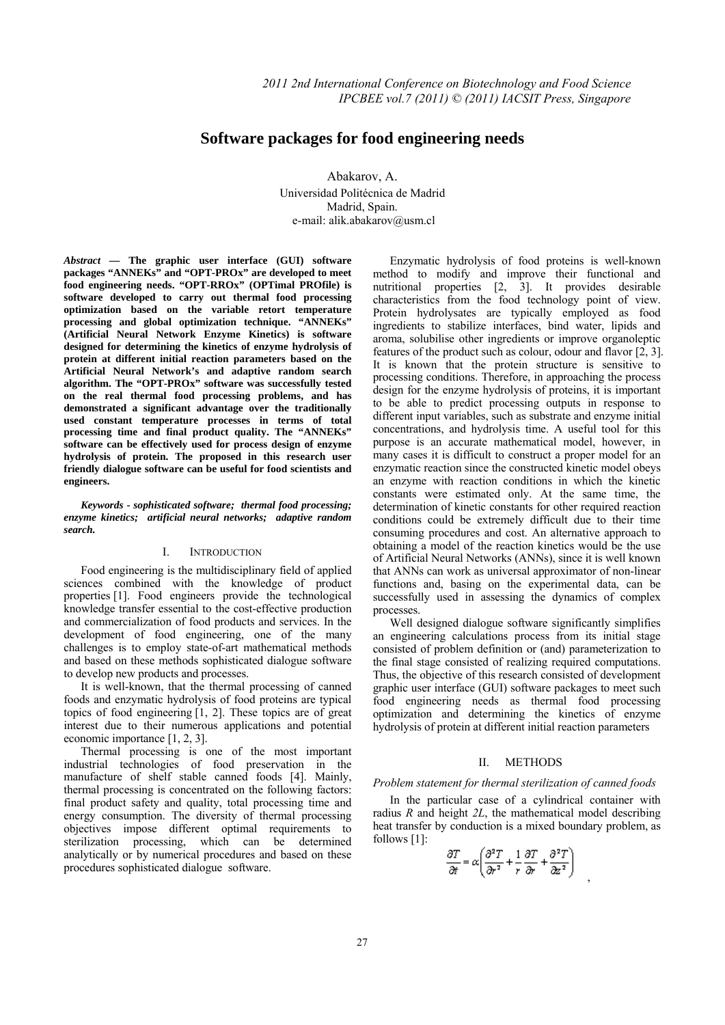# **Software packages for food engineering needs**

Abakarov, A. Universidad Politécnica de Madrid Madrid, Spain. e-mail: alik.abakarov@usm.cl

*Abstract* **— The graphic user interface (GUI) software packages "ANNEKs" and "OPT-PROx" are developed to meet food engineering needs. "OPT-RROx" (OPTimal PROfile) is software developed to carry out thermal food processing optimization based on the variable retort temperature processing and global optimization technique. "ANNEKs" (Artificial Neural Network Enzyme Kinetics) is software designed for determining the kinetics of enzyme hydrolysis of protein at different initial reaction parameters based on the Artificial Neural Network's and adaptive random search algorithm. The "OPT-PROx" software was successfully tested on the real thermal food processing problems, and has demonstrated a significant advantage over the traditionally used constant temperature processes in terms of total processing time and final product quality. The "ANNEKs" software can be effectively used for process design of enzyme hydrolysis of protein. The proposed in this research user friendly dialogue software can be useful for food scientists and engineers.** 

*Keywords - sophisticated software; thermal food processing; enzyme kinetics; artificial neural networks; adaptive random search.* 

## I. INTRODUCTION

Food engineering is the multidisciplinary field of applied sciences combined with the knowledge of product properties [1]. Food engineers provide the technological knowledge transfer essential to the cost-effective production and commercialization of food products and services. In the development of food engineering, one of the many challenges is to employ state-of-art mathematical methods and based on these methods sophisticated dialogue software to develop new products and processes.

It is well-known, that the thermal processing of canned foods and enzymatic hydrolysis of food proteins are typical topics of food engineering [1, 2]. These topics are of great interest due to their numerous applications and potential economic importance [1, 2, 3].

Thermal processing is one of the most important industrial technologies of food preservation in the manufacture of shelf stable canned foods [4]. Mainly, thermal processing is concentrated on the following factors: final product safety and quality, total processing time and energy consumption. The diversity of thermal processing objectives impose different optimal requirements to sterilization processing, which can be determined analytically or by numerical procedures and based on these procedures sophisticated dialogue software.

Enzymatic hydrolysis of food proteins is well-known method to modify and improve their functional and nutritional properties [2, 3]. It provides desirable characteristics from the food technology point of view. Protein hydrolysates are typically employed as food ingredients to stabilize interfaces, bind water, lipids and aroma, solubilise other ingredients or improve organoleptic features of the product such as colour, odour and flavor [2, 3]. It is known that the protein structure is sensitive to processing conditions. Therefore, in approaching the process design for the enzyme hydrolysis of proteins, it is important to be able to predict processing outputs in response to different input variables, such as substrate and enzyme initial concentrations, and hydrolysis time. A useful tool for this purpose is an accurate mathematical model, however, in many cases it is difficult to construct a proper model for an enzymatic reaction since the constructed kinetic model obeys an enzyme with reaction conditions in which the kinetic constants were estimated only. At the same time, the determination of kinetic constants for other required reaction conditions could be extremely difficult due to their time consuming procedures and cost. An alternative approach to obtaining a model of the reaction kinetics would be the use of Artificial Neural Networks (ANNs), since it is well known that ANNs can work as universal approximator of non-linear functions and, basing on the experimental data, can be successfully used in assessing the dynamics of complex processes.

Well designed dialogue software significantly simplifies an engineering calculations process from its initial stage consisted of problem definition or (and) parameterization to the final stage consisted of realizing required computations. Thus, the objective of this research consisted of development graphic user interface (GUI) software packages to meet such food engineering needs as thermal food processing optimization and determining the kinetics of enzyme hydrolysis of protein at different initial reaction parameters

### II. METHODS

#### *Problem statement for thermal sterilization of canned foods*

In the particular case of a cylindrical container with radius *R* and height *2L*, the mathematical model describing heat transfer by conduction is a mixed boundary problem, as follows [1]:

$$
\frac{\partial T}{\partial t} = \alpha \left( \frac{\partial^2 T}{\partial r^2} + \frac{1}{r} \frac{\partial T}{\partial r} + \frac{\partial^2 T}{\partial z^2} \right)
$$

,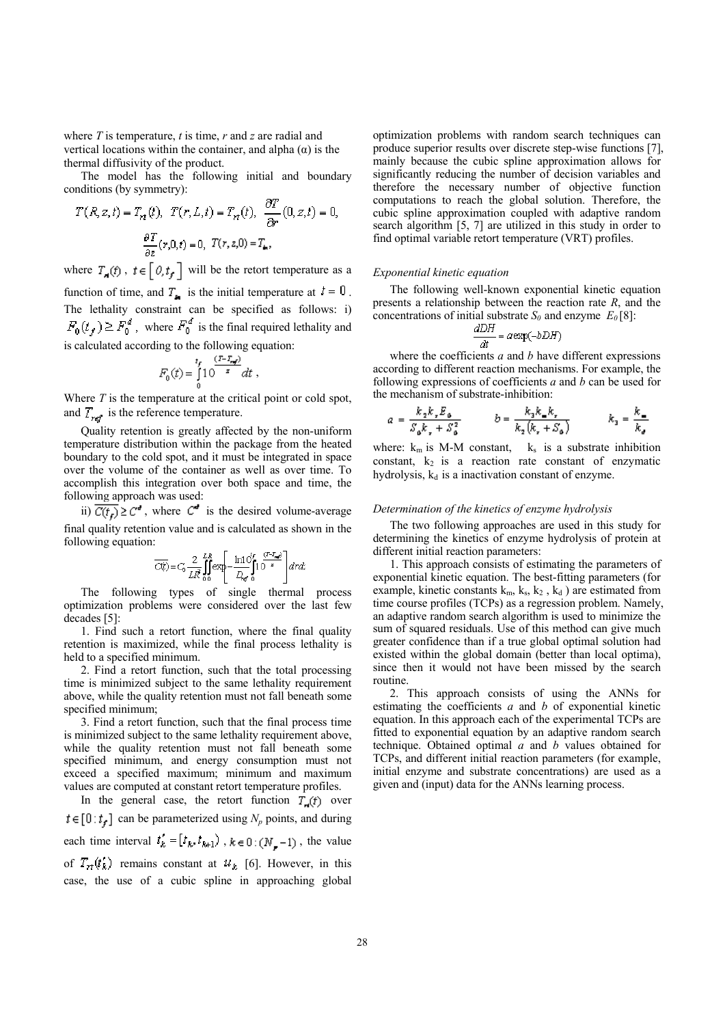where *T* is temperature, *t* is time, *r* and *z* are radial and vertical locations within the container, and alpha (α) is the thermal diffusivity of the product.

The model has the following initial and boundary conditions (by symmetry):

$$
T(R, z, t) = Trt(t), T(r, L, t) = Trt(t), \frac{\partial L}{\partial r}(0, z, t) = 0,
$$

$$
\frac{\partial T}{\partial z}(r, 0, t) = 0, T(r, z, 0) = Ttr,
$$

where  $T_{\mathbf{a}}(f)$  ,  $t \in [\theta, t_f]$  will be the retort temperature as a function of time, and  $T_{\bullet}$  is the initial temperature at  $t = 0$ . The lethality constraint can be specified as follows: i)  $F_0(t_f) \ge F_0^d$ , where  $F_0^d$  is the final required lethality and is calculated according to the following equation:

$$
F_0(t) = \int_0^{t_f} \frac{(t - t_m)}{s} dt ,
$$

Where *T* is the temperature at the critical point or cold spot, and  $T_{ref}$  is the reference temperature.

Quality retention is greatly affected by the non-uniform temperature distribution within the package from the heated boundary to the cold spot, and it must be integrated in space over the volume of the container as well as over time. To accomplish this integration over both space and time, the following approach was used:

ii)  $\overline{C(t_r)} \geq C^d$ , where  $C^d$  is the desired volume-average final quality retention value and is calculated as shown in the following equation:

$$
\overline{C(t)} = C_0 \frac{2}{LR} \int_{0}^{LR} \exp\left[-\frac{\ln 10^f f}{D_{\rm eff}} \int_{0}^{(T-T_{\rm eff})} \right] dr dt
$$

The following types of single thermal process optimization problems were considered over the last few decades [5]:

1. Find such a retort function, where the final quality retention is maximized, while the final process lethality is held to a specified minimum.

2. Find a retort function, such that the total processing time is minimized subject to the same lethality requirement above, while the quality retention must not fall beneath some specified minimum;

3. Find a retort function, such that the final process time is minimized subject to the same lethality requirement above, while the quality retention must not fall beneath some specified minimum, and energy consumption must not exceed a specified maximum; minimum and maximum values are computed at constant retort temperature profiles.

In the general case, the retort function  $T_n(t)$  over  $t \in [0:t]$  can be parameterized using  $N_p$  points, and during each time interval  $t'_{k} = [t_{k}, t_{k+1})$ ,  $k \in 0$ :  $(N_{-} - 1)$ , the value of  $T_{rt}(t'_k)$  remains constant at  $u_k$  [6]. However, in this case, the use of a cubic spline in approaching global optimization problems with random search techniques can produce superior results over discrete step-wise functions [7], mainly because the cubic spline approximation allows for significantly reducing the number of decision variables and therefore the necessary number of objective function computations to reach the global solution. Therefore, the cubic spline approximation coupled with adaptive random search algorithm [5, 7] are utilized in this study in order to find optimal variable retort temperature (VRT) profiles.

## *Exponential kinetic equation*

The following well-known exponential kinetic equation presents a relationship between the reaction rate *R*, and the concentrations of initial substrate  $S_0$  and enzyme  $E_0$  [8]:

$$
\frac{dDH}{dt} = a \exp(-bDH)
$$

where the coefficients *a* and *b* have different expressions according to different reaction mechanisms. For example, the following expressions of coefficients *a* and *b* can be used for the mechanism of substrate-inhibition:

$$
a = \frac{k_2 k_x E_{\mathfrak{s}}}{S_{\mathfrak{s}} k_x + S_{\mathfrak{s}}^2} \qquad \quad b = \frac{k_2 k_{\mathfrak{s}} k_x}{k_2 \left(k_x + S_{\mathfrak{s}}\right)} \qquad \quad k_3 = \frac{k_{\mathfrak{s}}}{k_x}.
$$

where:  $k_m$  is M-M constant,  $k_s$  is a substrate inhibition constant,  $k_2$  is a reaction rate constant of enzymatic hydrolysis,  $k_d$  is a inactivation constant of enzyme.

#### *Determination of the kinetics of enzyme hydrolysis*

The two following approaches are used in this study for determining the kinetics of enzyme hydrolysis of protein at different initial reaction parameters:

1. This approach consists of estimating the parameters of exponential kinetic equation. The best-fitting parameters (for example, kinetic constants  $k_m$ ,  $k_s$ ,  $k_2$ ,  $k_d$ ) are estimated from time course profiles (TCPs) as a regression problem. Namely, an adaptive random search algorithm is used to minimize the sum of squared residuals. Use of this method can give much greater confidence than if a true global optimal solution had existed within the global domain (better than local optima), since then it would not have been missed by the search routine.

2. This approach consists of using the ANNs for estimating the coefficients *a* and *b* of exponential kinetic equation. In this approach each of the experimental TCPs are fitted to exponential equation by an adaptive random search technique. Obtained optimal *a* and *b* values obtained for TCPs, and different initial reaction parameters (for example, initial enzyme and substrate concentrations) are used as a given and (input) data for the ANNs learning process.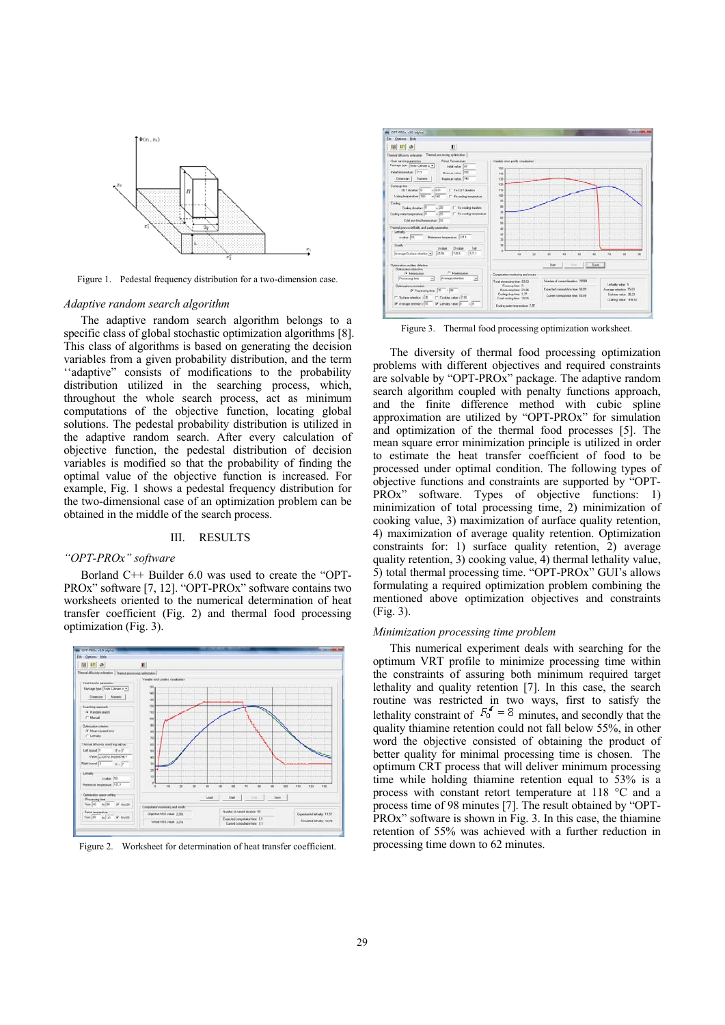

Figure 1. Pedestal frequency distribution for a two-dimension case.

#### *Adaptive random search algorithm*

The adaptive random search algorithm belongs to a specific class of global stochastic optimization algorithms [8]. This class of algorithms is based on generating the decision variables from a given probability distribution, and the term ''adaptive" consists of modifications to the probability distribution utilized in the searching process, which, throughout the whole search process, act as minimum computations of the objective function, locating global solutions. The pedestal probability distribution is utilized in the adaptive random search. After every calculation of objective function, the pedestal distribution of decision variables is modified so that the probability of finding the optimal value of the objective function is increased. For example, Fig. 1 shows a pedestal frequency distribution for the two-dimensional case of an optimization problem can be obtained in the middle of the search process.

#### III. RESULTS

#### *"OPT-PROx" software*

Borland C++ Builder 6.0 was used to create the "OPT-PROx" software [7, 12]. "OPT-PROx" software contains two worksheets oriented to the numerical determination of heat transfer coefficient (Fig. 2) and thermal food processing optimization (Fig. 3).



Figure 2. Worksheet for determination of heat transfer coefficient.



Figure 3. Thermal food processing optimization worksheet.

The diversity of thermal food processing optimization problems with different objectives and required constraints are solvable by "OPT-PROx" package. The adaptive random search algorithm coupled with penalty functions approach, and the finite difference method with cubic spline approximation are utilized by "OPT-PROx" for simulation and optimization of the thermal food processes [5]. The mean square error minimization principle is utilized in order to estimate the heat transfer coefficient of food to be processed under optimal condition. The following types of objective functions and constraints are supported by "OPT-PROx" software. Types of objective functions: 1) minimization of total processing time, 2) minimization of cooking value, 3) maximization of aurface quality retention, 4) maximization of average quality retention. Optimization constraints for: 1) surface quality retention, 2) average quality retention, 3) cooking value, 4) thermal lethality value, 5) total thermal processing time. "OPT-PROx" GUI's allows formulating a required optimization problem combining the mentioned above optimization objectives and constraints (Fig. 3).

#### *Minimization processing time problem*

This numerical experiment deals with searching for the optimum VRT profile to minimize processing time within the constraints of assuring both minimum required target lethality and quality retention [7]. In this case, the search routine was restricted in two ways, first to satisfy the lethality constraint of  $F_0^d = 8$  minutes, and secondly that the quality thiamine retention could not fall below 55%, in other word the objective consisted of obtaining the product of better quality for minimal processing time is chosen. The optimum CRT process that will deliver minimum processing time while holding thiamine retention equal to 53% is a process with constant retort temperature at 118 °C and a process time of 98 minutes [7]. The result obtained by "OPT-PROx" software is shown in Fig. 3. In this case, the thiamine retention of 55% was achieved with a further reduction in processing time down to 62 minutes.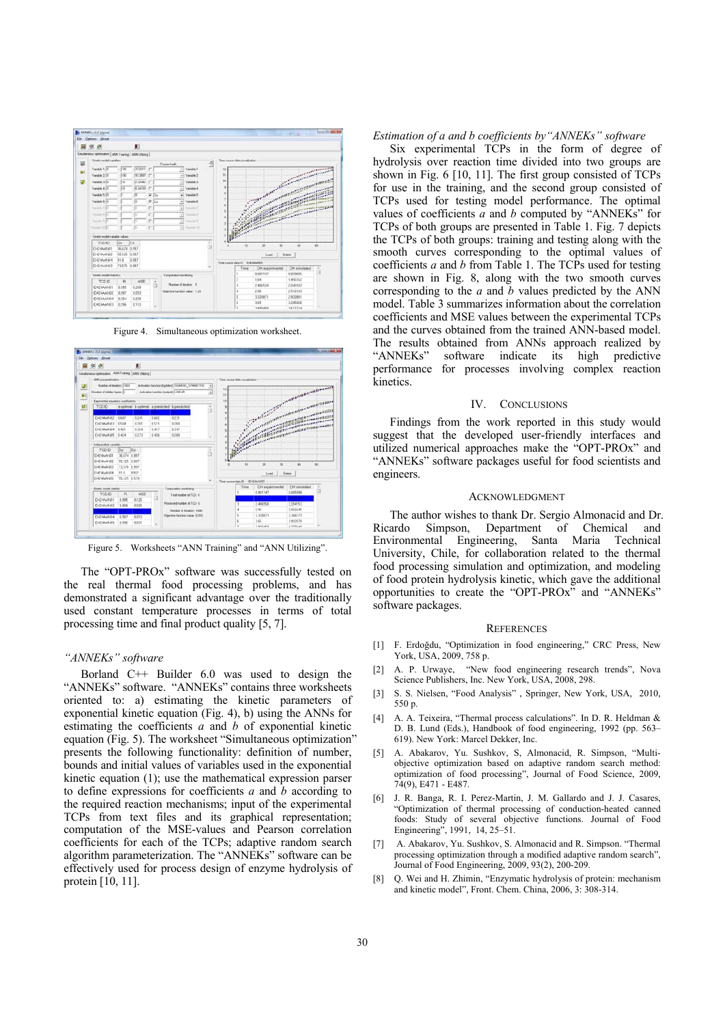





Figure 5. Worksheets "ANN Training" and "ANN Utilizing".

The "OPT-PROx" software was successfully tested on the real thermal food processing problems, and has demonstrated a significant advantage over the traditionally used constant temperature processes in terms of total processing time and final product quality [5, 7].

## *"ANNEKs" software*

Borland C++ Builder 6.0 was used to design the "ANNEKs" software. "ANNEKs" contains three worksheets oriented to: a) estimating the kinetic parameters of exponential kinetic equation (Fig. 4), b) using the ANNs for estimating the coefficients *a* and *b* of exponential kinetic equation (Fig. 5). The worksheet "Simultaneous optimization" presents the following functionality: definition of number, bounds and initial values of variables used in the exponential kinetic equation (1); use the mathematical expression parser to define expressions for coefficients *a* and *b* according to the required reaction mechanisms; input of the experimental TCPs from text files and its graphical representation; computation of the MSE-values and Pearson correlation coefficients for each of the TCPs; adaptive random search algorithm parameterization. The "ANNEKs" software can be effectively used for process design of enzyme hydrolysis of protein [10, 11].

#### *Estimation of a and b coefficients by"ANNEKs" software*

Six experimental TCPs in the form of degree of hydrolysis over reaction time divided into two groups are shown in Fig. 6 [10, 11]. The first group consisted of TCPs for use in the training, and the second group consisted of TCPs used for testing model performance. The optimal values of coefficients  $\overline{a}$  and  $\overline{b}$  computed by "ANNEKs" for TCPs of both groups are presented in Table 1. Fig. 7 depicts the TCPs of both groups: training and testing along with the smooth curves corresponding to the optimal values of coefficients *a* and *b* from Table 1. The TCPs used for testing are shown in Fig. 8, along with the two smooth curves corresponding to the *a* and *b* values predicted by the ANN model. Table 3 summarizes information about the correlation coefficients and MSE values between the experimental TCPs and the curves obtained from the trained ANN-based model. The results obtained from ANNs approach realized by "ANNEKs" software indicate its high predictive performance for processes involving complex reaction kinetics.

#### IV. CONCLUSIONS

Findings from the work reported in this study would suggest that the developed user-friendly interfaces and utilized numerical approaches make the "OPT-PROx" and "ANNEKs" software packages useful for food scientists and engineers.

#### ACKNOWLEDGMENT

The author wishes to thank Dr. Sergio Almonacid and Dr. Ricardo Simpson, Department of Chemical and Environmental Engineering, Santa Maria Technical University, Chile, for collaboration related to the thermal food processing simulation and optimization, and modeling of food protein hydrolysis kinetic, which gave the additional opportunities to create the "OPT-PROx" and "ANNEKs" software packages.

#### **REFERENCES**

- [1] F. Erdoğdu, "Optimization in food engineering," CRC Press, New York, USA, 2009, 758 p.
- [2] A. P. Urwaye, "New food engineering research trends", Nova Science Publishers, Inc. New York, USA, 2008, 298.
- [3] S. S. Nielsen, "Food Analysis" , Springer, New York, USA, 2010, 550 p.
- [4] A. A. Teixeira, "Thermal process calculations". In D. R. Heldman & D. B. Lund (Eds.), Handbook of food engineering, 1992 (pp. 563– 619). New York: Marcel Dekker, Inc.
- [5] A. Abakarov, Yu. Sushkov, S, Almonacid, R. Simpson, "Multiobjective optimization based on adaptive random search method: optimization of food processing", Journal of Food Science, 2009, 74(9), E471 - E487.
- [6] J. R. Banga, R. I. Perez-Martin, J. M. Gallardo and J. J. Casares, "Optimization of thermal processing of conduction-heated canned foods: Study of several objective functions. Journal of Food Engineering", 1991, 14, 25–51.
- [7] A. Abakarov, Yu. Sushkov, S. Almonacid and R. Simpson. "Thermal processing optimization through a modified adaptive random search", Journal of Food Engineering, 2009, 93(2), 200-209.
- [8] Q. Wei and H. Zhimin, "Enzymatic hydrolysis of protein: mechanism and kinetic model", Front. Chem. China, 2006, 3: 308-314.